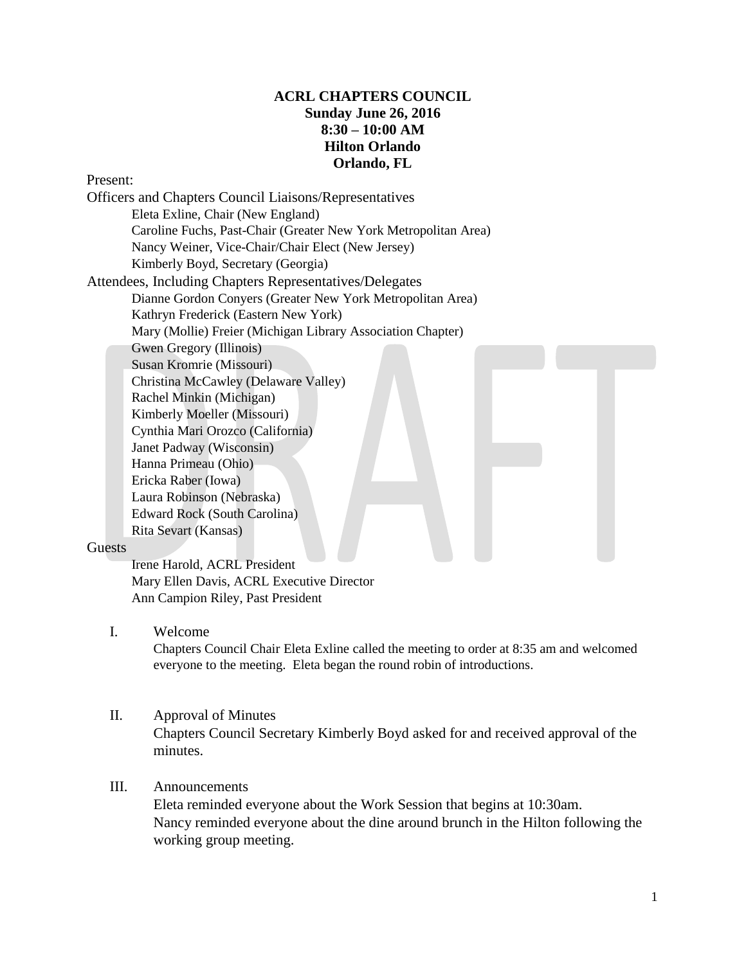# **ACRL CHAPTERS COUNCIL Sunday June 26, 2016 8:30 – 10:00 AM Hilton Orlando Orlando, FL**

#### Present:

Officers and Chapters Council Liaisons/Representatives Eleta Exline, Chair (New England) Caroline Fuchs, Past-Chair (Greater New York Metropolitan Area) Nancy Weiner, Vice-Chair/Chair Elect (New Jersey) Kimberly Boyd, Secretary (Georgia) Attendees, Including Chapters Representatives/Delegates Dianne Gordon Conyers (Greater New York Metropolitan Area) Kathryn Frederick (Eastern New York) Mary (Mollie) Freier (Michigan Library Association Chapter) Gwen Gregory (Illinois) Susan Kromrie (Missouri) Christina McCawley (Delaware Valley) Rachel Minkin (Michigan) Kimberly Moeller (Missouri) Cynthia Mari Orozco (California) Janet Padway (Wisconsin) Hanna Primeau (Ohio) Ericka Raber (Iowa) Laura Robinson (Nebraska) Edward Rock (South Carolina) Rita Sevart (Kansas)

#### Guests

Irene Harold, ACRL President Mary Ellen Davis, ACRL Executive Director Ann Campion Riley, Past President

### I. Welcome

Chapters Council Chair Eleta Exline called the meeting to order at 8:35 am and welcomed everyone to the meeting. Eleta began the round robin of introductions.

#### II. Approval of Minutes

Chapters Council Secretary Kimberly Boyd asked for and received approval of the minutes.

### III. Announcements

Eleta reminded everyone about the Work Session that begins at 10:30am. Nancy reminded everyone about the dine around brunch in the Hilton following the working group meeting.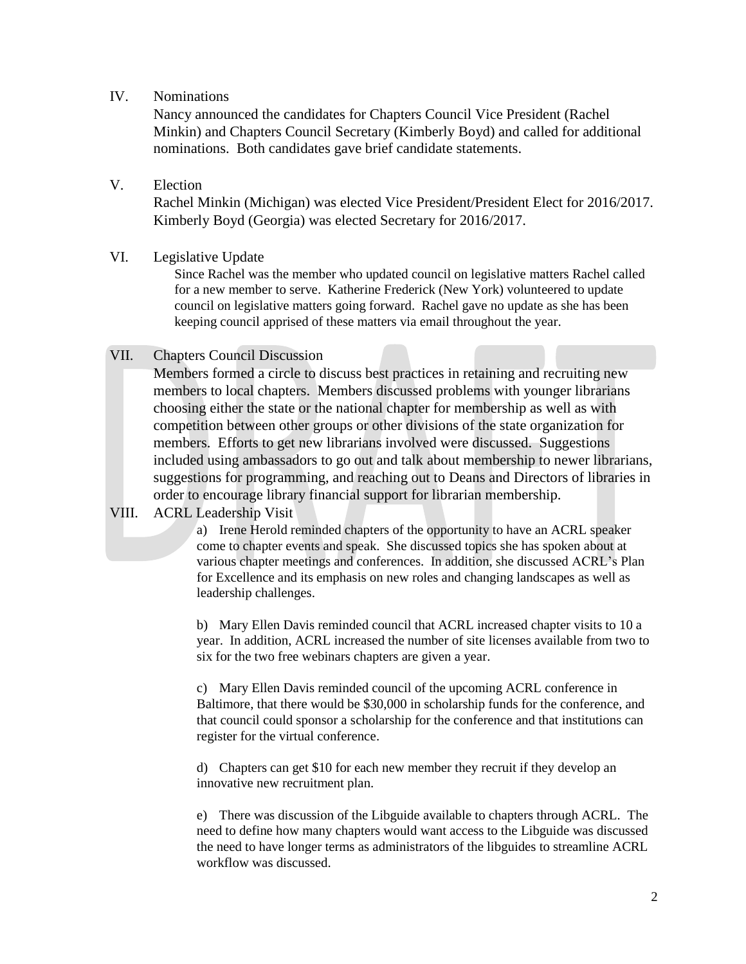### IV. Nominations

Nancy announced the candidates for Chapters Council Vice President (Rachel Minkin) and Chapters Council Secretary (Kimberly Boyd) and called for additional nominations. Both candidates gave brief candidate statements.

## V. Election

Rachel Minkin (Michigan) was elected Vice President/President Elect for 2016/2017. Kimberly Boyd (Georgia) was elected Secretary for 2016/2017.

### VI. Legislative Update

Since Rachel was the member who updated council on legislative matters Rachel called for a new member to serve. Katherine Frederick (New York) volunteered to update council on legislative matters going forward. Rachel gave no update as she has been keeping council apprised of these matters via email throughout the year.

## VII. Chapters Council Discussion

Members formed a circle to discuss best practices in retaining and recruiting new members to local chapters. Members discussed problems with younger librarians choosing either the state or the national chapter for membership as well as with competition between other groups or other divisions of the state organization for members. Efforts to get new librarians involved were discussed. Suggestions included using ambassadors to go out and talk about membership to newer librarians, suggestions for programming, and reaching out to Deans and Directors of libraries in order to encourage library financial support for librarian membership.

## VIII. ACRL Leadership Visit

a) Irene Herold reminded chapters of the opportunity to have an ACRL speaker come to chapter events and speak. She discussed topics she has spoken about at various chapter meetings and conferences. In addition, she discussed ACRL's Plan for Excellence and its emphasis on new roles and changing landscapes as well as leadership challenges.

b) Mary Ellen Davis reminded council that ACRL increased chapter visits to 10 a year. In addition, ACRL increased the number of site licenses available from two to six for the two free webinars chapters are given a year.

c) Mary Ellen Davis reminded council of the upcoming ACRL conference in Baltimore, that there would be \$30,000 in scholarship funds for the conference, and that council could sponsor a scholarship for the conference and that institutions can register for the virtual conference.

d) Chapters can get \$10 for each new member they recruit if they develop an innovative new recruitment plan.

e) There was discussion of the Libguide available to chapters through ACRL. The need to define how many chapters would want access to the Libguide was discussed the need to have longer terms as administrators of the libguides to streamline ACRL workflow was discussed.